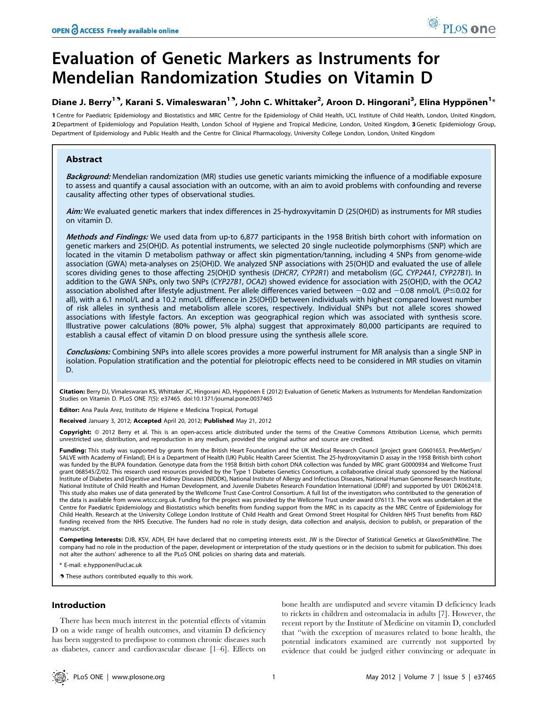# Evaluation of Genetic Markers as Instruments for Mendelian Randomization Studies on Vitamin D

# Diane J. Berry<sup>19</sup>, Karani S. Vimaleswaran<sup>19</sup>, John C. Whittaker<sup>2</sup>, Aroon D. Hingorani<sup>3</sup>, Elina Hyppönen<sup>1</sup>\*

1 Centre for Paediatric Epidemiology and Biostatistics and MRC Centre for the Epidemiology of Child Health, UCL Institute of Child Health, London, United Kingdom, 2 Department of Epidemiology and Population Health, London School of Hygiene and Tropical Medicine, London, United Kingdom, 3 Genetic Epidemiology Group, Department of Epidemiology and Public Health and the Centre for Clinical Pharmacology, University College London, London, United Kingdom

# Abstract

Background: Mendelian randomization (MR) studies use genetic variants mimicking the influence of a modifiable exposure to assess and quantify a causal association with an outcome, with an aim to avoid problems with confounding and reverse causality affecting other types of observational studies.

Aim: We evaluated genetic markers that index differences in 25-hydroxyvitamin D (25(OH)D) as instruments for MR studies on vitamin D.

Methods and Findings: We used data from up-to 6,877 participants in the 1958 British birth cohort with information on genetic markers and 25(OH)D. As potential instruments, we selected 20 single nucleotide polymorphisms (SNP) which are located in the vitamin D metabolism pathway or affect skin pigmentation/tanning, including 4 SNPs from genome-wide association (GWA) meta-analyses on 25(OH)D. We analyzed SNP associations with 25(OH)D and evaluated the use of allele scores dividing genes to those affecting 25(OH)D synthesis (DHCR7, CYP2R1) and metabolism (GC, CYP24A1, CYP27B1). In addition to the GWA SNPs, only two SNPs (CYP27B1, OCA2) showed evidence for association with 25(OH)D, with the OCA2 association abolished after lifestyle adjustment. Per allele differences varied between  $-0.02$  and  $-0.08$  nmol/L ( $P \le 0.02$  for all), with a 6.1 nmol/L and a 10.2 nmol/L difference in 25(OH)D between individuals with highest compared lowest number of risk alleles in synthesis and metabolism allele scores, respectively. Individual SNPs but not allele scores showed associations with lifestyle factors. An exception was geographical region which was associated with synthesis score. Illustrative power calculations (80% power, 5% alpha) suggest that approximately 80,000 participants are required to establish a causal effect of vitamin D on blood pressure using the synthesis allele score.

Conclusions: Combining SNPs into allele scores provides a more powerful instrument for MR analysis than a single SNP in isolation. Population stratification and the potential for pleiotropic effects need to be considered in MR studies on vitamin D.

Citation: Berry DJ, Vimaleswaran KS, Whittaker JC, Hingorani AD, Hyppönen E (2012) Evaluation of Genetic Markers as Instruments for Mendelian Randomization Studies on Vitamin D. PLoS ONE 7(5): e37465. doi:10.1371/journal.pone.0037465

Editor: Ana Paula Arez, Instituto de Higiene e Medicina Tropical, Portugal

Received January 3, 2012; Accepted April 20, 2012; Published May 21, 2012

Copyright: © 2012 Berry et al. This is an open-access article distributed under the terms of the Creative Commons Attribution License, which permits unrestricted use, distribution, and reproduction in any medium, provided the original author and source are credited.

Funding: This study was supported by grants from the British Heart Foundation and the UK Medical Research Council [project grant G0601653, PrevMetSyn/ SALVE with Academy of Finland]. EH is a Department of Health (UK) Public Health Career Scientist. The 25-hydroxyvitamin D assay in the 1958 British birth cohort was funded by the BUPA foundation. Genotype data from the 1958 British birth cohort DNA collection was funded by MRC grant G0000934 and Wellcome Trust grant 068545/Z/02. This research used resources provided by the Type 1 Diabetes Genetics Consortium, a collaborative clinical study sponsored by the National Institute of Diabetes and Digestive and Kidney Diseases (NIDDK), National Institute of Allergy and Infectious Diseases, National Human Genome Research Institute, National Institute of Child Health and Human Development, and Juvenile Diabetes Research Foundation International (JDRF) and supported by U01 DK062418. This study also makes use of data generated by the Wellcome Trust Case-Control Consortium. A full list of the investigators who contributed to the generation of the data is available from www.wtccc.org.uk. Funding for the project was provided by the Wellcome Trust under award 076113. The work was undertaken at the<br>Centre for Paediatric Epidemiology and Biostatistics which benefits Child Health. Research at the University College London Institute of Child Health and Great Ormond Street Hospital for Children NHS Trust benefits from R&D funding received from the NHS Executive. The funders had no role in study design, data collection and analysis, decision to publish, or preparation of the manuscript.

Competing Interests: DJB, KSV, ADH, EH have declared that no competing interests exist. JW is the Director of Statistical Genetics at GlaxoSmithKline. The company had no role in the production of the paper, development or interpretation of the study questions or in the decision to submit for publication. This does not alter the authors' adherence to all the PLoS ONE policies on sharing data and materials.

E-mail: e.hypponen@ucl.ac.uk

. These authors contributed equally to this work.

# Introduction

There has been much interest in the potential effects of vitamin D on a wide range of health outcomes, and vitamin D deficiency has been suggested to predispose to common chronic diseases such as diabetes, cancer and cardiovascular disease [1–6]. Effects on

bone health are undisputed and severe vitamin D deficiency leads to rickets in children and osteomalacia in adults [7]. However, the recent report by the Institute of Medicine on vitamin D, concluded that ''with the exception of measures related to bone health, the potential indicators examined are currently not supported by evidence that could be judged either convincing or adequate in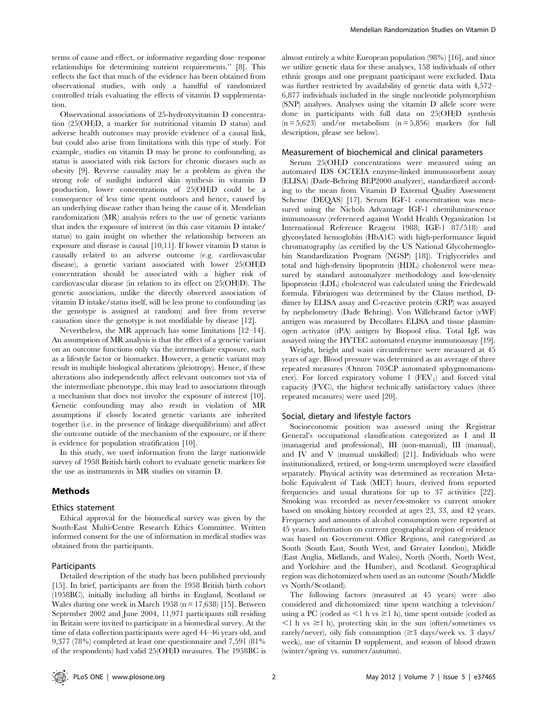terms of cause and effect, or informative regarding dose–response relationships for determining nutrient requirements.'' [8]. This reflects the fact that much of the evidence has been obtained from observational studies, with only a handful of randomized controlled trials evaluating the effects of vitamin D supplementation.

Observational associations of 25-hydroxyvitamin D concentration (25(OH)D, a marker for nutritional vitamin D status) and adverse health outcomes may provide evidence of a causal link, but could also arise from limitations with this type of study. For example, studies on vitamin D may be prone to confounding, as status is associated with risk factors for chronic diseases such as obesity [9]. Reverse causality may be a problem as given the strong role of sunlight induced skin synthesis in vitamin D production, lower concentrations of 25(OH)D could be a consequence of less time spent outdoors and hence, caused by an underlying disease rather than being the cause of it. Mendelian randomization (MR) analysis refers to the use of genetic variants that index the exposure of interest (in this case vitamin D intake/ status) to gain insight on whether the relationship between an exposure and disease is causal [10,11]. If lower vitamin D status is causally related to an adverse outcome (e.g. cardiovascular disease), a genetic variant associated with lower 25(OH)D concentration should be associated with a higher risk of cardiovascular disease (in relation to its effect on 25(OH)D). The genetic association, unlike the directly observed association of vitamin D intake/status itself, will be less prone to confounding (as the genotype is assigned at random) and free from reverse causation since the genotype is not modifiable by disease [12].

Nevertheless, the MR approach has some limitations [12–14]. An assumption of MR analysis is that the effect of a genetic variant on an outcome functions only via the intermediate exposure, such as a lifestyle factor or biomarker. However, a genetic variant may result in multiple biological alterations (pleiotropy). Hence, if these alterations also independently affect relevant outcomes not via of the intermediate phenotype, this may lead to associations through a mechanism that does not involve the exposure of interest [10]. Genetic confounding may also result in violation of MR assumptions if closely located genetic variants are inherited together (i.e. in the presence of linkage disequilibrium) and affect the outcome outside of the mechanism of the exposure, or if there is evidence for population stratification [10].

In this study, we used information from the large nationwide survey of 1958 British birth cohort to evaluate genetic markers for the use as instruments in MR studies on vitamin D.

# Methods

#### Ethics statement

Ethical approval for the biomedical survey was given by the South-East Multi-Centre Research Ethics Committee. Written informed consent for the use of information in medical studies was obtained from the participants.

### Participants

Detailed description of the study has been published previously [15]. In brief, participants are from the 1958 British birth cohort (1958BC), initially including all births in England, Scotland or Wales during one week in March 1958 ( $n = 17,638$ ) [15]. Between September 2002 and June 2004, 11,971 participants still residing in Britain were invited to participate in a biomedical survey. At the time of data collection participants were aged 44–46 years old, and 9,377 (78%) completed at least one questionnaire and 7,591 (81% of the respondents) had valid 25(OH)D measures. The 1958BC is

almost entirely a white European population (98%) [16], and since we utilize genetic data for these analyses, 158 individuals of other ethnic groups and one pregnant participant were excluded. Data was further restricted by availability of genetic data with 4,572– 6,877 individuals included in the single nucleotide polymorphism (SNP) analyses. Analyses using the vitamin D allele score were done in participants with full data on 25(OH)D synthesis  $(n = 5,623)$  and/or metabolism  $(n = 5,856)$  markers (for full description, please see below).

#### Measurement of biochemical and clinical parameters

Serum 25(OH)D concentrations were measured using an automated IDS OCTEIA enzyme-linked immunosorbent assay (ELISA) (Dade-Behring BEP2000 analyzer), standardized according to the mean from Vitamin D External Quality Assessment Scheme (DEQAS) [17]. Serum IGF-1 concentration was measured using the Nichols Advantage IGF-1 chemiluminescence immunoassay (referenced against World Health Organization 1st International Reference Reagent 1988; IGF-1 87/518) and glycosylated hemoglobin (HbA1C) with high-performance liquid chromatography (as certified by the US National Glycohemoglobin Standardization Program (NGSP) [18]). Triglycerides and total and high-density lipoprotein (HDL) cholesterol were measured by standard autoanalyzer methodology and low-density lipoprotein (LDL) cholesterol was calculated using the Friedewald formula. Fibrinogen was determined by the Clauss method, Ddimer by ELISA assay and C-reactive protein (CRP) was assayed by nephelometry (Dade Behring). Von Willebrand factor (vWF) antigen was measured by Decollates ELISA and tissue plasminogen activator (tPA) antigen by Biopool elisa. Total IgE was assayed using the HYTEC automated enzyme immunoassay [19].

Weight, height and waist circumference were measured at 45 years of age. Blood pressure was determined as an average of three repeated measures (Omron 705CP automated sphygmomanometer). For forced expiratory volume  $1$  (FEV<sub>1</sub>) and forced vital capacity (FVC), the highest technically satisfactory values (three repeated measures) were used [20].

#### Social, dietary and lifestyle factors

Socioeconomic position was assessed using the Registrar General's occupational classification categorized as I and II (managerial and professional), III (non-manual), III (manual), and IV and V (manual unskilled) [21]. Individuals who were institutionalized, retired, or long-term unemployed were classified separately. Physical activity was determined as recreation Metabolic Equivalent of Task (MET) hours, derived from reported frequencies and usual durations for up to 37 activities [22]. Smoking was recorded as never/ex-smoker vs current smoker based on smoking history recorded at ages 23, 33, and 42 years. Frequency and amounts of alcohol consumption were reported at 45 years. Information on current geographical region of residence was based on Government Office Regions, and categorized as South (South East, South West, and Greater London), Middle (East Anglia, Midlands, and Wales), North (North, North West, and Yorkshire and the Humber), and Scotland. Geographical region was dichotomized when used as an outcome (South/Middle vs North/Scotland).

The following factors (measured at 45 years) were also considered and dichotomized: time spent watching a television/ using a PC (coded as  $\leq 1$  h vs  $\geq 1$  h), time spent outside (coded as  $\leq$ 1 h vs  $\geq$ 1 h), protecting skin in the sun (often/sometimes vs rarely/never), oily fish consumption  $(\geq 3$  days/week vs. 3 days/ week), use of vitamin D supplement, and season of blood drawn (winter/spring vs. summer/autumn).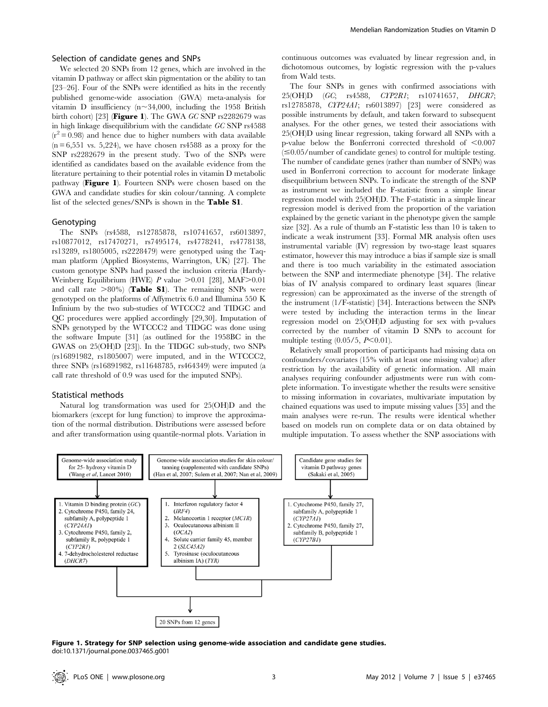# Selection of candidate genes and SNPs

We selected 20 SNPs from 12 genes, which are involved in the vitamin D pathway or affect skin pigmentation or the ability to tan [23–26]. Four of the SNPs were identified as hits in the recently published genome-wide association (GWA) meta-analysis for vitamin D insufficiency (n $\sim$ 34,000, including the 1958 British birth cohort) [23] (Figure 1). The GWA GC SNP rs2282679 was in high linkage disequilibrium with the candidate GC SNP rs4588  $(r^2 = 0.98)$  and hence due to higher numbers with data available  $(n = 6,551 \text{ vs. } 5,224)$ , we have chosen rs4588 as a proxy for the SNP rs2282679 in the present study. Two of the SNPs were identified as candidates based on the available evidence from the literature pertaining to their potential roles in vitamin D metabolic pathway (Figure 1). Fourteen SNPs were chosen based on the GWA and candidate studies for skin colour/tanning. A complete list of the selected genes/SNPs is shown in the Table S1.

## Genotyping

The SNPs (rs4588, rs12785878, rs10741657, rs6013897, rs10877012, rs17470271, rs7495174, rs4778241, rs4778138, rs13289, rs1805005, rs2228479) were genotyped using the Taqman platform (Applied Biosystems, Warrington, UK) [27]. The custom genotype SNPs had passed the inclusion criteria (Hardy-Weinberg Equilibrium (HWE) P value  $>0.01$  [28], MAF $>0.01$ and call rate  $>80\%$  (Table S1). The remaining SNPs were genotyped on the platforms of Affymetrix 6.0 and Illumina 550 K Infinium by the two sub-studies of WTCCC2 and TIDGC and QC procedures were applied accordingly [29,30]. Imputation of SNPs genotyped by the WTCCC2 and TIDGC was done using the software Impute [31] (as outlined for the 1958BC in the GWAS on 25(OH)D [23]). In the TIDGC sub-study, two SNPs (rs16891982, rs1805007) were imputed, and in the WTCCC2, three SNPs (rs16891982, rs11648785, rs464349) were imputed (a call rate threshold of 0.9 was used for the imputed SNPs).

#### Statistical methods

Natural log transformation was used for 25(OH)D and the biomarkers (except for lung function) to improve the approximation of the normal distribution. Distributions were assessed before and after transformation using quantile-normal plots. Variation in continuous outcomes was evaluated by linear regression and, in dichotomous outcomes, by logistic regression with the p-values from Wald tests.

The four SNPs in genes with confirmed associations with 25(OH)D (GC; rs4588, CYP2R1; rs10741657, DHCR7; rs12785878, CYP24A1; rs6013897) [23] were considered as possible instruments by default, and taken forward to subsequent analyses. For the other genes, we tested their associations with 25(OH)D using linear regression, taking forward all SNPs with a p-value below the Bonferroni corrected threshold of  $\leq 0.007$  $(\leq 0.05$ /number of candidate genes) to control for multiple testing. The number of candidate genes (rather than number of SNPs) was used in Bonferroni correction to account for moderate linkage disequilibrium between SNPs. To indicate the strength of the SNP as instrument we included the F-statistic from a simple linear regression model with 25(OH)D. The F-statistic in a simple linear regression model is derived from the proportion of the variation explained by the genetic variant in the phenotype given the sample size [32]. As a rule of thumb an F-statistic less than 10 is taken to indicate a weak instrument [33]. Formal MR analysis often uses instrumental variable (IV) regression by two-stage least squares estimator, however this may introduce a bias if sample size is small and there is too much variability in the estimated association between the SNP and intermediate phenotype [34]. The relative bias of IV analysis compared to ordinary least squares (linear regression) can be approximated as the inverse of the strength of the instrument (1/F-statistic) [34]. Interactions between the SNPs were tested by including the interaction terms in the linear regression model on 25(OH)D adjusting for sex with p-values corrected by the number of vitamin D SNPs to account for multiple testing  $(0.05/5, P<0.01)$ .

Relatively small proportion of participants had missing data on confounders/covariates (15% with at least one missing value) after restriction by the availability of genetic information. All main analyses requiring confounder adjustments were run with complete information. To investigate whether the results were sensitive to missing information in covariates, multivariate imputation by chained equations was used to impute missing values [35] and the main analyses were re-run. The results were identical whether based on models run on complete data or on data obtained by multiple imputation. To assess whether the SNP associations with



Figure 1. Strategy for SNP selection using genome-wide association and candidate gene studies. doi:10.1371/journal.pone.0037465.g001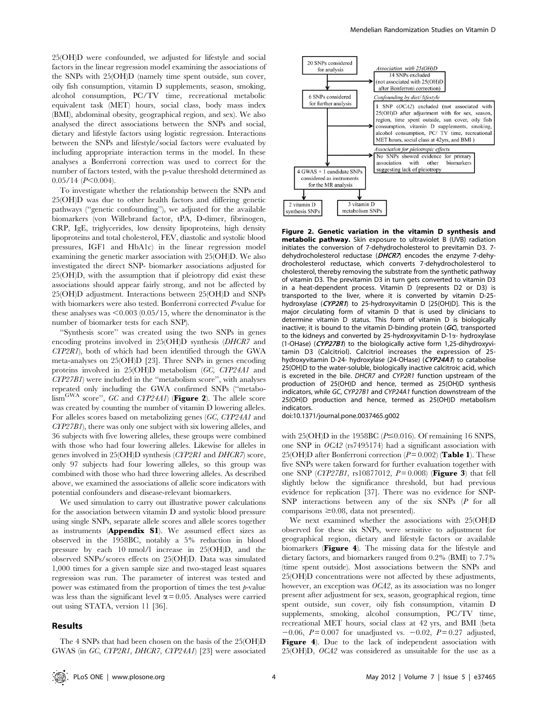25(OH)D were confounded, we adjusted for lifestyle and social factors in the linear regression model examining the associations of the SNPs with 25(OH)D (namely time spent outside, sun cover, oily fish consumption, vitamin D supplements, season, smoking, alcohol consumption, PC/TV time, recreational metabolic equivalent task (MET) hours, social class, body mass index (BMI), abdominal obesity, geographical region, and sex). We also analysed the direct associations between the SNPs and social, dietary and lifestyle factors using logistic regression. Interactions between the SNPs and lifestyle/social factors were evaluated by including appropriate interaction terms in the model. In these analyses a Bonferroni correction was used to correct for the number of factors tested, with the p-value threshold determined as  $0.05/14$  (P $<$ 0.004).

To investigate whether the relationship between the SNPs and 25(OH)D was due to other health factors and differing genetic pathways (''genetic confounding''), we adjusted for the available biomarkers (von Willebrand factor, tPA, D-dimer, fibrinogen, CRP, IgE, triglycerides, low density lipoproteins, high density lipoproteins and total cholesterol, FEV, diastolic and systolic blood pressures, IGF1 and HbA1c) in the linear regression model examining the genetic marker association with 25(OH)D. We also investigated the direct SNP- biomarker associations adjusted for 25(OH)D, with the assumption that if pleiotropy did exist these associations should appear fairly strong, and not be affected by 25(OH)D adjustment. Interactions between 25(OH)D and SNPs with biomarkers were also tested. Bonferroni corrected P-value for these analyses was  $\leq 0.003$  (0.05/15, where the denominator is the number of biomarker tests for each SNP).

''Synthesis score'' was created using the two SNPs in genes encoding proteins involved in 25(OH)D synthesis (DHCR7 and CYP2R1), both of which had been identified through the GWA meta-analyses on 25(OH)D [23]. Three SNPs in genes encoding proteins involved in 25(OH)D metabolism (GC, CYP24A1 and CYP27B1) were included in the ''metabolism score'', with analyses repeated only including the GWA confirmed SNPs (''metabo- $\lim_{\text{GWA}}$  score", GC and CYP24A1) (Figure 2). The allele score was created by counting the number of vitamin D lowering alleles. For alleles scores based on metabolizing genes (GC, CYP24A1 and CYP27B1), there was only one subject with six lowering alleles, and 36 subjects with five lowering alleles, these groups were combined with those who had four lowering alleles. Likewise for alleles in genes involved in 25(OH)D synthesis (CYP2R1 and DHCR7) score, only 97 subjects had four lowering alleles, so this group was combined with those who had three lowering alleles. As described above, we examined the associations of allelic score indicators with potential confounders and disease-relevant biomarkers.

We used simulation to carry out illustrative power calculations for the association between vitamin D and systolic blood pressure using single SNPs, separate allele scores and allele scores together as instruments (Appendix S1). We assumed effect sizes as observed in the 1958BC, notably a 5% reduction in blood pressure by each 10 nmol/l increase in 25(OH)D, and the observed SNPs/scores effects on 25(OH)D. Data was simulated 1,000 times for a given sample size and two-staged least squares regression was run. The parameter of interest was tested and power was estimated from the proportion of times the test  $p$ -value was less than the significant level  $\alpha$  = 0.05. Analyses were carried out using STATA, version 11 [36].

# Results



Figure 2. Genetic variation in the vitamin D synthesis and metabolic pathway. Skin exposure to ultraviolet B (UVB) radiation initiates the conversion of 7-dehydrocholesterol to previtamin D3. 7 dehydrocholesterol reductase (DHCR7) encodes the enzyme 7-dehydrocholesterol reductase, which converts 7-dehydrocholesterol to cholesterol, thereby removing the substrate from the synthetic pathway of vitamin D3. The previtamin D3 in turn gets converted to vitamin D3 in a heat-dependent process. Vitamin D (represents D2 or D3) is transported to the liver, where it is converted by vitamin D-25 hydroxylase (CYP2R1) to 25-hydroxyvitamin D [25(OH)D]. This is the major circulating form of vitamin D that is used by clinicians to determine vitamin D status. This form of vitamin D is biologically inactive; it is bound to the vitamin D-binding protein  $(GC)$ , transported to the kidneys and converted by 25-hydroxyvitamin D-1a- hydroxylase (1-OHase) (CYP27B1) to the biologically active form 1,25-dihydroxyvitamin D3 (Calcitriol). Calcitriol increases the expression of 25 hydroxyvitamin D-24- hydroxylase (24-OHase) (CYP24A1) to catabolise 25(OH)D to the water-soluble, biologically inactive calcitroic acid, which is excreted in the bile. DHCR7 and CYP2R1 function upstream of the production of 25(OH)D and hence, termed as 25(OH)D synthesis indicators, while GC, CYP27B1 and CYP24A1 function downstream of the 25(OH)D production and hence, termed as 25(OH)D metabolism indicators.

doi:10.1371/journal.pone.0037465.g002

with 25(OH)D in the 1958BC ( $P \le 0.016$ ). Of remaining 16 SNPS, one SNP in OCA2 (rs7495174) had a significant association with 25(OH)D after Bonferroni correction  $(P = 0.002)$  (Table 1). These five SNPs were taken forward for further evaluation together with one SNP (CYP27B1, rs10877012,  $P=0.008$ ) (Figure 3) that fell slightly below the significance threshold, but had previous evidence for replication [37]. There was no evidence for SNP-SNP interactions between any of the six SNPs (P for all comparisons  $\geq 0.08$ , data not presented).

We next examined whether the associations with 25(OH)D observed for these six SNPs, were sensitive to adjustment for geographical region, dietary and lifestyle factors or available biomarkers (Figure 4). The missing data for the lifestyle and dietary factors, and biomarkers ranged from 0.2% (BMI) to 7.7% (time spent outside). Most associations between the SNPs and 25(OH)D concentrations were not affected by these adjustments, however, an exception was OCA2, as its association was no longer present after adjustment for sex, season, geographical region, time spent outside, sun cover, oily fish consumption, vitamin D supplements, smoking, alcohol consumption, PC/TV time, recreational MET hours, social class at 42 yrs, and BMI (beta  $-0.06$ ,  $P = 0.007$  for unadjusted vs.  $-0.02$ ,  $P = 0.27$  adjusted, Figure 4). Due to the lack of independent association with 25(OH)D, OCA2 was considered as unsuitable for the use as a

The 4 SNPs that had been chosen on the basis of the 25(OH)D GWAS (in GC, CYP2R1, DHCR7, CYP24A1) [23] were associated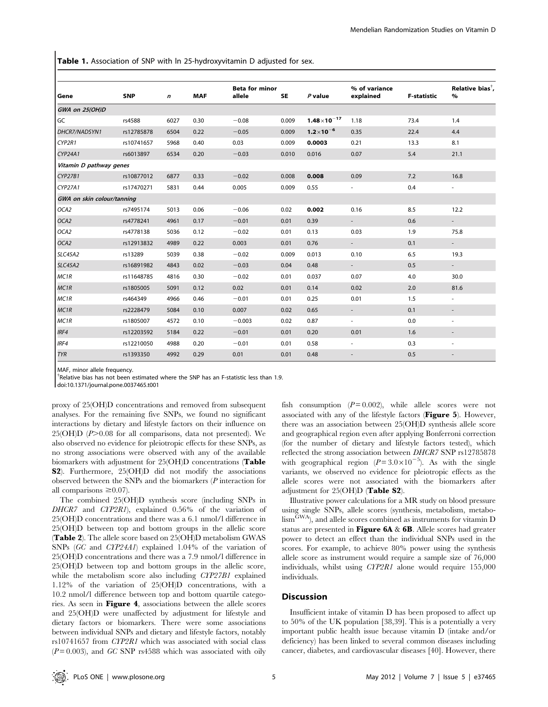Table 1. Association of SNP with ln 25-hydroxyvitamin D adjusted for sex.

| Gene                       | <b>SNP</b> | $\boldsymbol{n}$ | <b>MAF</b> | <b>Beta for minor</b><br>allele | <b>SE</b> | $P$ value            | % of variance<br>explained | <b>F-statistic</b> | Relative bias <sup>†</sup> ,<br>$\%$ |
|----------------------------|------------|------------------|------------|---------------------------------|-----------|----------------------|----------------------------|--------------------|--------------------------------------|
| GWA on 25(OH)D             |            |                  |            |                                 |           |                      |                            |                    |                                      |
| <b>GC</b>                  | rs4588     | 6027             | 0.30       | $-0.08$                         | 0.009     | $1.48\times10^{-17}$ | 1.18                       | 73.4               | 1.4                                  |
| DHCR7/NADSYN1              | rs12785878 | 6504             | 0.22       | $-0.05$                         | 0.009     | $1.2 \times 10^{-6}$ | 0.35                       | 22.4               | 4.4                                  |
| CYP2R1                     | rs10741657 | 5968             | 0.40       | 0.03                            | 0.009     | 0.0003               | 0.21                       | 13.3               | 8.1                                  |
| CYP24A1                    | rs6013897  | 6534             | 0.20       | $-0.03$                         | 0.010     | 0.016                | 0.07                       | 5.4                | 21.1                                 |
| Vitamin D pathway genes    |            |                  |            |                                 |           |                      |                            |                    |                                      |
| CYP27B1                    | rs10877012 | 6877             | 0.33       | $-0.02$                         | 0.008     | 0.008                | 0.09                       | 7.2                | 16.8                                 |
| CYP27A1                    | rs17470271 | 5831             | 0.44       | 0.005                           | 0.009     | 0.55                 | ٠                          | 0.4                | $\overline{\phantom{a}}$             |
| GWA on skin colour/tanning |            |                  |            |                                 |           |                      |                            |                    |                                      |
| OCA <sub>2</sub>           | rs7495174  | 5013             | 0.06       | $-0.06$                         | 0.02      | 0.002                | 0.16                       | 8.5                | 12.2                                 |
| OCA <sub>2</sub>           | rs4778241  | 4961             | 0.17       | $-0.01$                         | 0.01      | 0.39                 | $\sim$                     | 0.6                | $\sim$                               |
| OCA <sub>2</sub>           | rs4778138  | 5036             | 0.12       | $-0.02$                         | 0.01      | 0.13                 | 0.03                       | 1.9                | 75.8                                 |
| OCA <sub>2</sub>           | rs12913832 | 4989             | 0.22       | 0.003                           | 0.01      | 0.76                 |                            | 0.1                |                                      |
| SLC45A2                    | rs13289    | 5039             | 0.38       | $-0.02$                         | 0.009     | 0.013                | 0.10                       | 6.5                | 19.3                                 |
| <b>SLC45A2</b>             | rs16891982 | 4843             | 0.02       | $-0.03$                         | 0.04      | 0.48                 | $\sim$                     | 0.5                | $\sim$                               |
| MC <sub>1R</sub>           | rs11648785 | 4816             | 0.30       | $-0.02$                         | 0.01      | 0.037                | 0.07                       | 4.0                | 30.0                                 |
| MC <sub>1R</sub>           | rs1805005  | 5091             | 0.12       | 0.02                            | 0.01      | 0.14                 | 0.02                       | 2.0                | 81.6                                 |
| MC <sub>1R</sub>           | rs464349   | 4966             | 0.46       | $-0.01$                         | 0.01      | 0.25                 | 0.01                       | 1.5                | $\overline{\phantom{a}}$             |
| MC <sub>1R</sub>           | rs2228479  | 5084             | 0.10       | 0.007                           | 0.02      | 0.65                 | $\overline{\phantom{a}}$   | 0.1                | $\overline{\phantom{a}}$             |
| MC <sub>1R</sub>           | rs1805007  | 4572             | 0.10       | $-0.003$                        | 0.02      | 0.87                 | $\sim$                     | 0.0                | $\overline{\phantom{a}}$             |
| IRF4                       | rs12203592 | 5184             | 0.22       | $-0.01$                         | 0.01      | 0.20                 | 0.01                       | 1.6                | $\overline{\phantom{a}}$             |
| IRF4                       | rs12210050 | 4988             | 0.20       | $-0.01$                         | 0.01      | 0.58                 | $\sim$                     | 0.3                | $\overline{\phantom{a}}$             |
| <b>TYR</b>                 | rs1393350  | 4992             | 0.29       | 0.01                            | 0.01      | 0.48                 |                            | 0.5                |                                      |

MAF, minor allele frequency.

<sup>†</sup>Relative bias has not been estimated where the SNP has an F-statistic less than 1.9.

doi:10.1371/journal.pone.0037465.t001

proxy of 25(OH)D concentrations and removed from subsequent analyses. For the remaining five SNPs, we found no significant interactions by dietary and lifestyle factors on their influence on  $25(OH)D$  ( $P>0.08$  for all comparisons, data not presented). We also observed no evidence for pleiotropic effects for these SNPs, as no strong associations were observed with any of the available biomarkers with adjustment for 25(OH)D concentrations (Table S2). Furthermore, 25(OH)D did not modify the associations observed between the SNPs and the biomarkers (P interaction for all comparisons  $\geq 0.07$ ).

The combined 25(OH)D synthesis score (including SNPs in DHCR7 and CYP2R1), explained 0.56% of the variation of 25(OH)D concentrations and there was a 6.1 nmol/l difference in 25(OH)D between top and bottom groups in the allelic score (Table 2). The allele score based on 25(OH)D metabolism GWAS SNPs (GC and CYP24A1) explained 1.04% of the variation of 25(OH)D concentrations and there was a 7.9 nmol/l difference in 25(OH)D between top and bottom groups in the allelic score, while the metabolism score also including CYP27B1 explained 1.12% of the variation of 25(OH)D concentrations, with a 10.2 nmol/l difference between top and bottom quartile categories. As seen in Figure 4, associations between the allele scores and 25(OH)D were unaffected by adjustment for lifestyle and dietary factors or biomarkers. There were some associations between individual SNPs and dietary and lifestyle factors, notably rs10741657 from CYP2R1 which was associated with social class  $(P=0.003)$ , and GC SNP rs4588 which was associated with oily

fish consumption  $(P=0.002)$ , while allele scores were not associated with any of the lifestyle factors (Figure 5). However, there was an association between 25(OH)D synthesis allele score and geographical region even after applying Bonferroni correction (for the number of dietary and lifestyle factors tested), which reflected the strong association between DHCR7 SNP rs12785878 with geographical region ( $P = 3.0 \times 10^{-5}$ ). As with the single variants, we observed no evidence for pleiotropic effects as the allele scores were not associated with the biomarkers after adjustment for 25(OH)D (Table S2).

Illustrative power calculations for a MR study on blood pressure using single SNPs, allele scores (synthesis, metabolism, metabo- $\lim_{\text{GWA}}$ , and allele scores combined as instruments for vitamin D status are presented in Figure  $6A \& 6B$ . Allele scores had greater power to detect an effect than the individual SNPs used in the scores. For example, to achieve 80% power using the synthesis allele score as instrument would require a sample size of 76,000 individuals, whilst using CYP2R1 alone would require 155,000 individuals.

# **Discussion**

Insufficient intake of vitamin D has been proposed to affect up to 50% of the UK population [38,39]. This is a potentially a very important public health issue because vitamin D (intake and/or deficiency) has been linked to several common diseases including cancer, diabetes, and cardiovascular diseases [40]. However, there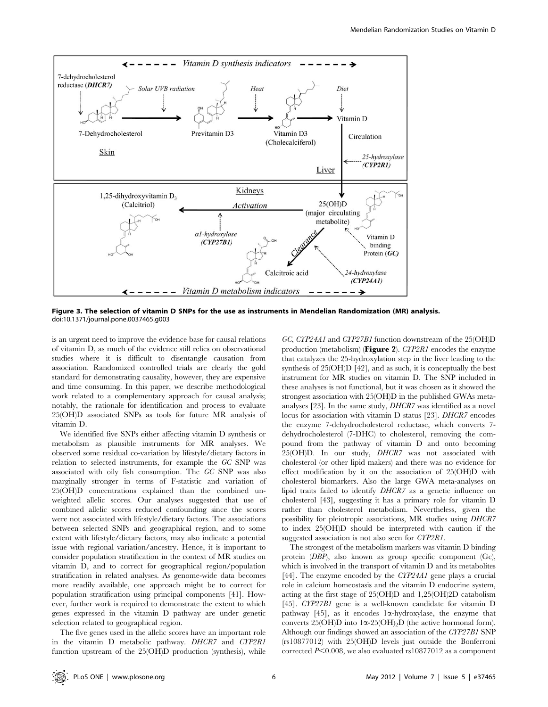

Figure 3. The selection of vitamin D SNPs for the use as instruments in Mendelian Randomization (MR) analysis. doi:10.1371/journal.pone.0037465.g003

is an urgent need to improve the evidence base for causal relations of vitamin D, as much of the evidence still relies on observational studies where it is difficult to disentangle causation from association. Randomized controlled trials are clearly the gold standard for demonstrating causality, however, they are expensive and time consuming. In this paper, we describe methodological work related to a complementary approach for causal analysis; notably, the rationale for identification and process to evaluate 25(OH)D associated SNPs as tools for future MR analysis of vitamin D.

We identified five SNPs either affecting vitamin D synthesis or metabolism as plausible instruments for MR analyses. We observed some residual co-variation by lifestyle/dietary factors in relation to selected instruments, for example the GC SNP was associated with oily fish consumption. The GC SNP was also marginally stronger in terms of F-statistic and variation of 25(OH)D concentrations explained than the combined unweighted allelic scores. Our analyses suggested that use of combined allelic scores reduced confounding since the scores were not associated with lifestyle/dietary factors. The associations between selected SNPs and geographical region, and to some extent with lifestyle/dietary factors, may also indicate a potential issue with regional variation/ancestry. Hence, it is important to consider population stratification in the context of MR studies on vitamin D, and to correct for geographical region/population stratification in related analyses. As genome-wide data becomes more readily available, one approach might be to correct for population stratification using principal components [41]. However, further work is required to demonstrate the extent to which genes expressed in the vitamin D pathway are under genetic selection related to geographical region.

The five genes used in the allelic scores have an important role in the vitamin D metabolic pathway. DHCR7 and CYP2R1 function upstream of the 25(OH)D production (synthesis), while GC, CYP24A1 and CYP27B1 function downstream of the 25(OH)D production (metabolism) (Figure 2).  $CTP2R1$  encodes the enzyme that catalyzes the 25-hydroxylation step in the liver leading to the synthesis of 25(OH)D [42], and as such, it is conceptually the best instrument for MR studies on vitamin D. The SNP included in these analyses is not functional, but it was chosen as it showed the strongest association with 25(OH)D in the published GWAs metaanalyses [23]. In the same study, DHCR7 was identified as a novel locus for association with vitamin D status [23]. DHCR7 encodes the enzyme 7-dehydrocholesterol reductase, which converts 7 dehydrocholesterol (7-DHC) to cholesterol, removing the compound from the pathway of vitamin D and onto becoming 25(OH)D. In our study, DHCR7 was not associated with cholesterol (or other lipid makers) and there was no evidence for effect modification by it on the association of 25(OH)D with cholesterol biomarkers. Also the large GWA meta-analyses on lipid traits failed to identify DHCR7 as a genetic influence on cholesterol [43], suggesting it has a primary role for vitamin D rather than cholesterol metabolism. Nevertheless, given the possibility for pleiotropic associations, MR studies using DHCR7 to index 25(OH)D should be interpreted with caution if the suggested association is not also seen for CYP2R1.

The strongest of the metabolism markers was vitamin D binding protein (DBP), also known as group specific component (Gc), which is involved in the transport of vitamin D and its metabolites [44]. The enzyme encoded by the CYP24A1 gene plays a crucial role in calcium homeostasis and the vitamin D endocrine system, acting at the first stage of 25(OH)D and 1,25(OH)2D catabolism [45]. CYP27B1 gene is a well-known candidate for vitamin D pathway [45], as it encodes  $1\alpha$ -hydroxylase, the enzyme that converts 25(OH)D into  $1\alpha$ -25(OH)<sub>2</sub>D (the active hormonal form). Although our findings showed an association of the CYP27B1 SNP (rs10877012) with 25(OH)D levels just outside the Bonferroni corrected  $P<0.008$ , we also evaluated rs10877012 as a component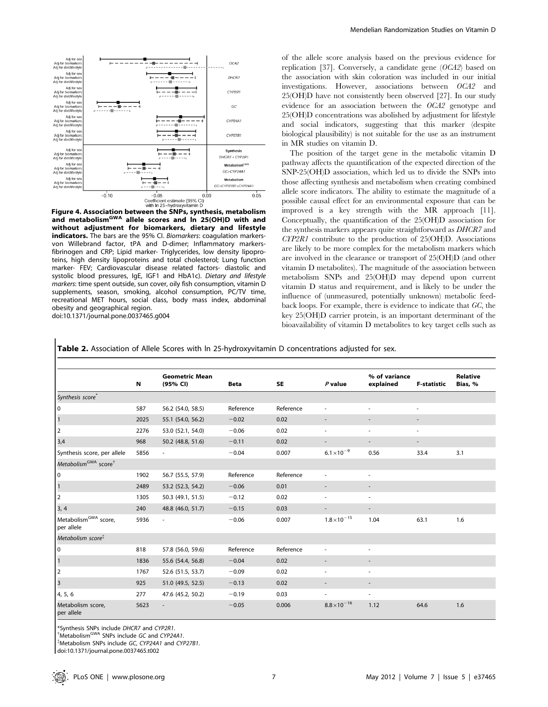

and metabolism<sup>GWA</sup> allele scores and In 25(OH)D with and without adjustment for biomarkers, dietary and lifestyle indicators. The bars are the 95% CI. Biomarkers: coagulation markersvon Willebrand factor, tPA and D-dimer; Inflammatory markersfibrinogen and CRP; Lipid marker- Triglycerides, low density lipoproteins, high density lipoproteins and total cholesterol; Lung function marker- FEV; Cardiovascular disease related factors- diastolic and systolic blood pressures, IgE, IGF1 and HbA1c). Dietary and lifestyle markers: time spent outside, sun cover, oily fish consumption, vitamin D supplements, season, smoking, alcohol consumption, PC/TV time, recreational MET hours, social class, body mass index, abdominal obesity and geographical region.

doi:10.1371/journal.pone.0037465.g004

of the allele score analysis based on the previous evidence for replication [37]. Conversely, a candidate gene (OCA2) based on the association with skin coloration was included in our initial investigations. However, associations between OCA2 and 25(OH)D have not consistently been observed [27]. In our study evidence for an association between the OCA2 genotype and 25(OH)D concentrations was abolished by adjustment for lifestyle and social indicators, suggesting that this marker (despite biological plausibility) is not suitable for the use as an instrument in MR studies on vitamin D.

The position of the target gene in the metabolic vitamin D pathway affects the quantification of the expected direction of the SNP-25(OH)D association, which led us to divide the SNPs into those affecting synthesis and metabolism when creating combined allele score indicators. The ability to estimate the magnitude of a possible causal effect for an environmental exposure that can be improved is a key strength with the MR approach [11]. Conceptually, the quantification of the 25(OH)D association for the synthesis markers appears quite straightforward as DHCR7 and CYP2R1 contribute to the production of 25(OH)D. Associations are likely to be more complex for the metabolism markers which are involved in the clearance or transport of 25(OH)D (and other vitamin D metabolites). The magnitude of the association between metabolism SNPs and 25(OH)D may depend upon current vitamin D status and requirement, and is likely to be under the influence of (unmeasured, potentially unknown) metabolic feedback loops. For example, there is evidence to indicate that GC, the key 25(OH)D carrier protein, is an important determinant of the bioavailability of vitamin D metabolites to key target cells such as

|                                                | N    | <b>Geometric Mean</b><br>(95% CI) | <b>Beta</b> | SE        | $P$ value             | % of variance<br>explained | <b>F-statistic</b> | <b>Relative</b><br>Bias, % |
|------------------------------------------------|------|-----------------------------------|-------------|-----------|-----------------------|----------------------------|--------------------|----------------------------|
| Synthesis score <sup>®</sup>                   |      |                                   |             |           |                       |                            |                    |                            |
| 0                                              | 587  | 56.2 (54.0, 58.5)                 | Reference   | Reference |                       | ٠                          | ٠                  |                            |
| $\vert$ 1                                      | 2025 | 55.1 (54.0, 56.2)                 | $-0.02$     | 0.02      |                       |                            |                    |                            |
| $\vert$ <sub>2</sub>                           | 2276 | 53.0 (52.1, 54.0)                 | $-0.06$     | 0.02      | ٠                     | ٠                          | $\sim$             |                            |
| 3,4                                            | 968  | 50.2 (48.8, 51.6)                 | $-0.11$     | 0.02      |                       |                            | ٠                  |                            |
| Synthesis score, per allele                    | 5856 | $\overline{\phantom{a}}$          | $-0.04$     | 0.007     | $6.1 \times 10^{-9}$  | 0.56                       | 33.4               | 3.1                        |
| Metabolism <sup>GWA</sup> score <sup>†</sup>   |      |                                   |             |           |                       |                            |                    |                            |
| 0                                              | 1902 | 56.7 (55.5, 57.9)                 | Reference   | Reference | ٠                     | ٠                          |                    |                            |
| $\vert$ 1                                      | 2489 | 53.2 (52.3, 54.2)                 | $-0.06$     | 0.01      |                       | $\overline{\phantom{a}}$   |                    |                            |
| $\vert$ <sub>2</sub>                           | 1305 | 50.3 (49.1, 51.5)                 | $-0.12$     | 0.02      |                       | $\overline{\phantom{a}}$   |                    |                            |
| 3, 4                                           | 240  | 48.8 (46.0, 51.7)                 | $-0.15$     | 0.03      |                       | $\overline{\phantom{0}}$   |                    |                            |
| Metabolism <sup>GWA</sup> score,<br>per allele | 5936 | $\overline{\phantom{a}}$          | $-0.06$     | 0.007     | $1.8 \times 10^{-15}$ | 1.04                       | 63.1               | 1.6                        |
| Metabolism score <sup>\$</sup>                 |      |                                   |             |           |                       |                            |                    |                            |
| $\vert$ 0                                      | 818  | 57.8 (56.0, 59.6)                 | Reference   | Reference |                       |                            |                    |                            |
| $\vert$ <sub>1</sub>                           | 1836 | 55.6 (54.4, 56.8)                 | $-0.04$     | 0.02      |                       | $\overline{\phantom{a}}$   |                    |                            |
| $\vert$ <sub>2</sub>                           | 1767 | 52.6 (51.5, 53.7)                 | $-0.09$     | 0.02      | ٠                     | $\sim$                     |                    |                            |
| $\vert$ <sub>3</sub>                           | 925  | 51.0 (49.5, 52.5)                 | $-0.13$     | 0.02      |                       |                            |                    |                            |
| 4, 5, 6                                        | 277  | 47.6 (45.2, 50.2)                 | $-0.19$     | 0.03      |                       | $\overline{\phantom{a}}$   |                    |                            |
| Metabolism score,<br>per allele                | 5623 |                                   | $-0.05$     | 0.006     | $8.8 \times 10^{-16}$ | 1.12                       | 64.6               | 1.6                        |

\*Synthesis SNPs include *DHCR7* and CYP2R1.<br><sup>†</sup>Metabolism<sup>GWA</sup> SNPs include GC and CYP24A1.<br><sup>‡Metabolism SNPs include GC C<sup>VP24A1</sup> and CY.</sup>

Metabolism SNPs include GC, CYP24A1 and CYP27B1.

doi:10.1371/journal.pone.0037465.t002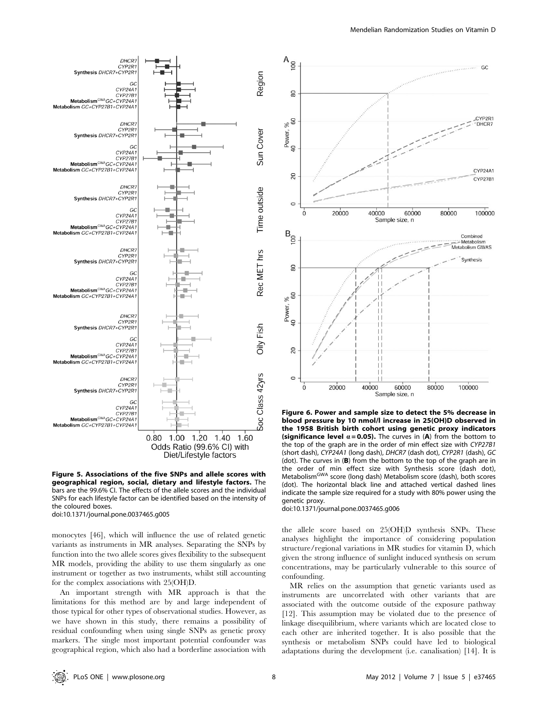

Figure 5. Associations of the five SNPs and allele scores with geographical region, social, dietary and lifestyle factors. The bars are the 99.6% CI. The effects of the allele scores and the individual SNPs for each lifestyle factor can be identified based on the intensity of the coloured boxes.

doi:10.1371/journal.pone.0037465.g005

monocytes [46], which will influence the use of related genetic variants as instruments in MR analyses. Separating the SNPs by function into the two allele scores gives flexibility to the subsequent MR models, providing the ability to use them singularly as one instrument or together as two instruments, whilst still accounting for the complex associations with 25(OH)D.

An important strength with MR approach is that the limitations for this method are by and large independent of those typical for other types of observational studies. However, as we have shown in this study, there remains a possibility of residual confounding when using single SNPs as genetic proxy markers. The single most important potential confounder was geographical region, which also had a borderline association with



Figure 6. Power and sample size to detect the 5% decrease in blood pressure by 10 nmol/l increase in 25(OH)D observed in the 1958 British birth cohort using genetic proxy indicators (significance level  $\alpha$  = 0.05). The curves in (A) from the bottom to the top of the graph are in the order of min effect size with CYP27B1 (short dash), CYP24A1 (long dash), DHCR7 (dash dot), CYP2R1 (dash), GC (dot). The curves in (B) from the bottom to the top of the graph are in the order of min effect size with Synthesis score (dash dot), Metabolism<sup>GWA</sup> score (long dash) Metabolism score (dash), both scores (dot). The horizontal black line and attached vertical dashed lines indicate the sample size required for a study with 80% power using the genetic proxy.

doi:10.1371/journal.pone.0037465.g006

the allele score based on 25(OH)D synthesis SNPs. These analyses highlight the importance of considering population structure/regional variations in MR studies for vitamin D, which given the strong influence of sunlight induced synthesis on serum concentrations, may be particularly vulnerable to this source of confounding.

MR relies on the assumption that genetic variants used as instruments are uncorrelated with other variants that are associated with the outcome outside of the exposure pathway [12]. This assumption may be violated due to the presence of linkage disequilibrium, where variants which are located close to each other are inherited together. It is also possible that the synthesis or metabolism SNPs could have led to biological adaptations during the development (i.e. canalisation) [14]. It is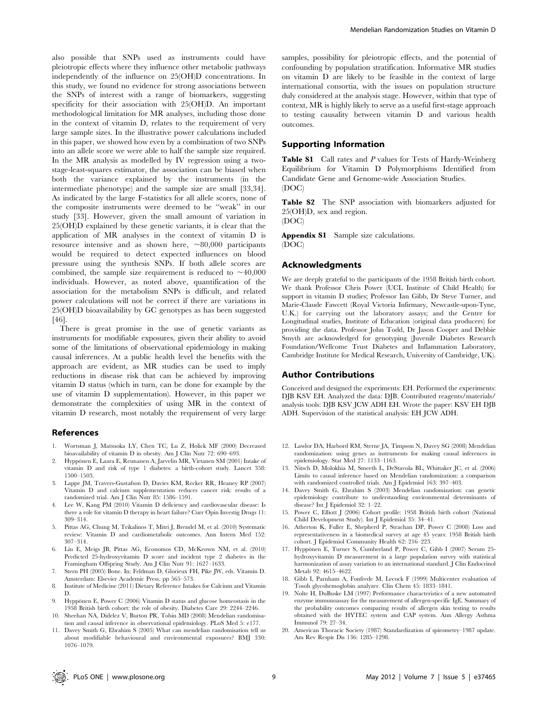also possible that SNPs used as instruments could have pleiotropic effects where they influence other metabolic pathways independently of the influence on 25(OH)D concentrations. In this study, we found no evidence for strong associations between the SNPs of interest with a range of biomarkers, suggesting specificity for their association with 25(OH)D. An important methodological limitation for MR analyses, including those done in the context of vitamin D, relates to the requirement of very large sample sizes. In the illustrative power calculations included in this paper, we showed how even by a combination of two SNPs into an allele score we were able to half the sample size required. In the MR analysis as modelled by IV regression using a twostage-least-squares estimator, the association can be biased when both the variance explained by the instruments (in the intermediate phenotype) and the sample size are small [33,34]. As indicated by the large F-statistics for all allele scores, none of the composite instruments were deemed to be ''weak'' in our study [33]. However, given the small amount of variation in 25(OH)D explained by these genetic variants, it is clear that the application of MR analyses in the context of vitamin D is resource intensive and as shown here,  $\sim 80,000$  participants would be required to detect expected influences on blood pressure using the synthesis SNPs. If both allele scores are combined, the sample size requirement is reduced to  $\sim$ 40,000 individuals. However, as noted above, quantification of the association for the metabolism SNPs is difficult, and related power calculations will not be correct if there are variations in 25(OH)D bioavailability by GC genotypes as has been suggested [46].

There is great promise in the use of genetic variants as instruments for modifiable exposures, given their ability to avoid some of the limitations of observational epidemiology in making causal inferences. At a public health level the benefits with the approach are evident, as MR studies can be used to imply reductions in disease risk that can be achieved by improving vitamin D status (which in turn, can be done for example by the use of vitamin D supplementation). However, in this paper we demonstrate the complexities of using MR in the context of vitamin D research, most notably the requirement of very large

#### References

- 1. Wortsman J, Matsuoka LY, Chen TC, Lu Z, Holick MF (2000) Decreased bioavailability of vitamin D in obesity. Am J Clin Nutr 72: 690–693.
- Hyppönen E, Laara E, Reunanen A, Jarvelin MR, Virtanen SM (2001) Intake of vitamin D and risk of type 1 diabetes: a birth-cohort study. Lancet 358: 1500–1503.
- 3. Lappe JM, Travers-Gustafson D, Davies KM, Recker RR, Heaney RP (2007) Vitamin D and calcium supplementation reduces cancer risk: results of a randomized trial. Am J Clin Nutr 85: 1586–1591.
- 4. Lee W, Kang PM (2010) Vitamin D deficiency and cardiovascular disease: Is there a role for vitamin D therapy in heart failure? Curr Opin Investig Drugs 11: 309–314.
- 5. Pittas AG, Chung M, Trikalinos T, Mitri J, Brendel M, et al. (2010) Systematic review: Vitamin D and cardiometabolic outcomes. Ann Intern Med 152: 307–314.
- 6. Liu E, Meigs JB, Pittas AG, Economos CD, McKeown NM, et al. (2010) Predicted 25-hydroxyvitamin D score and incident type 2 diabetes in the Framingham Offspring Study. Am J Clin Nutr 91: 1627–1633.
- 7. Stern PH (2005) Bone. In: Feldman D, Glorieux FH, Pike JW, eds. Vitamin D. Amsterdam: Elsevier Academic Press. pp 565–573.
- 8. Institute of Medicine (2011) Dietary Reference Intakes for Calcium and Vitamin D.
- 9. Hyppönen E, Power C (2006) Vitamin D status and glucose homeostasis in the 1958 British birth cohort: the role of obesity. Diabetes Care 29: 2244–2246.
- 10. Sheehan NA, Didelez V, Burton PR, Tobin MD (2008) Mendelian randomisation and causal inference in observational epidemiology. PLoS Med 5: e177.
- 11. Davey Smith G, Ebrahim S (2005) What can mendelian randomisation tell us about modifiable behavioural and environmental exposures? BMJ 330: 1076–1079.

samples, possibility for pleiotropic effects, and the potential of confounding by population stratification. Informative MR studies on vitamin D are likely to be feasible in the context of large international consortia, with the issues on population structure duly considered at the analysis stage. However, within that type of context, MR is highly likely to serve as a useful first-stage approach to testing causality between vitamin D and various health outcomes.

### Supporting Information

Table S1 Call rates and P values for Tests of Hardy-Weinberg Equilibrium for Vitamin D Polymorphisms Identified from Candidate Gene and Genome-wide Association Studies. (DOC)

Table S2 The SNP association with biomarkers adjusted for 25(OH)D, sex and region.

(DOC)

Appendix S1 Sample size calculations. (DOC)

#### Acknowledgments

We are deeply grateful to the participants of the 1958 British birth cohort. We thank Professor Chris Power (UCL Institute of Child Health) for support in vitamin D studies; Professor Ian Gibb, Dr Steve Turner, and Marie-Claude Fawcett (Royal Victoria Infirmary, Newcastle-upon-Tyne, U.K.) for carrying out the laboratory assays; and the Centre for Longitudinal studies, Institute of Education (original data producers) for providing the data. Professor John Todd, Dr Jason Cooper and Debbie Smyth are acknowledged for genotyping (Juvenile Diabetes Research Foundation/Wellcome Trust Diabetes and Inflammation Laboratory, Cambridge Institute for Medical Research, University of Cambridge, UK).

# Author Contributions

Conceived and designed the experiments: EH. Performed the experiments: DJB KSV EH. Analyzed the data: DJB. Contributed reagents/materials/ analysis tools: DJB KSV JCW ADH EH. Wrote the paper: KSV EH DJB ADH. Supervision of the statistical analysis: EH JCW ADH.

- 12. Lawlor DA, Harbord RM, Sterne JA, Timpson N, Davey SG (2008) Mendelian randomization: using genes as instruments for making causal inferences in epidemiology. Stat Med 27: 1133–1163.
- 13. Nitsch D, Molokhia M, Smeeth L, DeStavola BL, Whittaker JC, et al. (2006) Limits to causal inference based on Mendelian randomization: a comparison with randomized controlled trials. Am J Epidemiol 163: 397–403.
- 14. Davey Smith G, Ebrahim S (2003) Mendelian randomization: can genetic epidemiology contribute to understanding environmental determinants of disease? Int J Epidemiol 32: 1–22.
- 15. Power C, Elliott J (2006) Cohort profile: 1958 British birth cohort (National Child Development Study). Int J Epidemiol 35: 34–41.
- 16. Atherton K, Fuller E, Shepherd P, Strachan DP, Power C (2008) Loss and representativeness in a biomedical survey at age 45 years: 1958 British birth cohort. J Epidemiol Community Health 62: 216–223.
- 17. Hyppönen E, Turner S, Cumberland P, Power C, Gibb I (2007) Serum 25hydroxyvitamin D measurement in a large population survey with statistical harmonization of assay variation to an international standard. I Clin Endocrinol Metab 92: 4615–4622.
- 18. Gibb I, Parnham A, Fonfrede M, Lecock F (1999) Multicenter evaluation of Tosoh glycohemoglobin analyzer. Clin Chem 45: 1833–1841.
- 19. Nolte H, DuBuske LM (1997) Performance characteristics of a new automated enzyme immunoassay for the measurement of allergen-specific IgE. Summary of the probability outcomes comparing results of allergen skin testing to results obtained with the HYTEC system and CAP system. Ann Allergy Asthma Immunol 79: 27–34.
- 20. American Thoracic Society (1987) Standardization of spirometry–1987 update. Am Rev Respir Dis 136: 1285–1298.